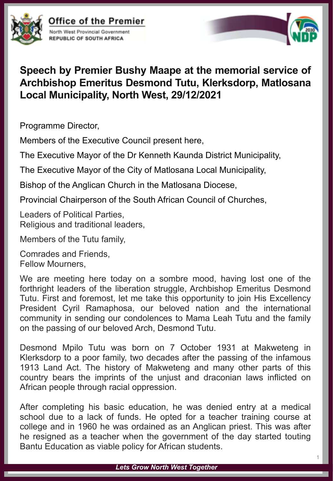

**Office of the Premier** North West Provincial Government **REPUBLIC OF SOUTH AFRICA** 



## **Speech by Premier Bushy Maape at the memorial service of Archbishop Emeritus Desmond Tutu, Klerksdorp, Matlosana Local Municipality, North West, 29/12/2021**

Programme Director,

Members of the Executive Council present here,

The Executive Mayor of the Dr Kenneth Kaunda District Municipality,

The Executive Mayor of the City of Matlosana Local Municipality,

Bishop of the Anglican Church in the Matlosana Diocese,

Provincial Chairperson of the South African Council of Churches,

Leaders of Political Parties, Religious and traditional leaders,

Members of the Tutu family,

Comrades and Friends, Fellow Mourners,

We are meeting here today on a sombre mood, having lost one of the forthright leaders of the liberation struggle, Archbishop Emeritus Desmond Tutu. First and foremost, let me take this opportunity to join His Excellency President Cyril Ramaphosa, our beloved nation and the international community in sending our condolences to Mama Leah Tutu and the family on the passing of our beloved Arch, Desmond Tutu.

Desmond Mpilo Tutu was born on 7 October 1931 at Makweteng in Klerksdorp to a poor family, two decades after the passing of the infamous 1913 Land Act. The history of Makweteng and many other parts of this country bears the imprints of the unjust and draconian laws inflicted on African people through racial oppression.

After completing his basic education, he was denied entry at a medical school due to a lack of funds. He opted for a teacher training course at college and in 1960 he was ordained as an Anglican priest. This was after he resigned as a teacher when the government of the day started touting Bantu Education as viable policy for African students.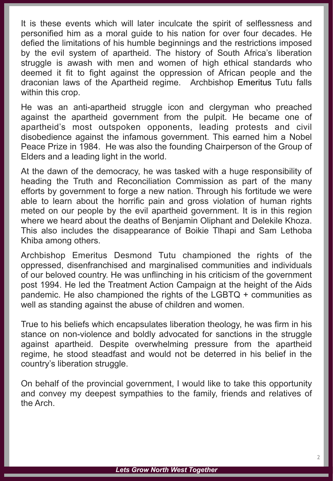It is these events which will later inculcate the spirit of selflessness and personified him as a moral guide to his nation for over four decades. He defied the limitations of his humble beginnings and the restrictions imposed by the evil system of apartheid. The history of South Africa's liberation struggle is awash with men and women of high ethical standards who deemed it fit to fight against the oppression of African people and the draconian laws of the Apartheid regime. Archbishop Emeritus Tutu falls within this crop.

He was an anti-apartheid struggle icon and clergyman who preached against the apartheid government from the pulpit. He became one of apartheid's most outspoken opponents, leading protests and civil disobedience against the infamous government. This earned him a Nobel Peace Prize in 1984. He was also the founding Chairperson of the Group of Elders and a leading light in the world.

At the dawn of the democracy, he was tasked with a huge responsibility of heading the Truth and Reconciliation Commission as part of the many efforts by government to forge a new nation. Through his fortitude we were able to learn about the horrific pain and gross violation of human rights meted on our people by the evil apartheid government. It is in this region where we heard about the deaths of Benjamin Oliphant and Delekile Khoza. This also includes the disappearance of Boikie Tlhapi and Sam Lethoba Khiba among others.

Archbishop Emeritus Desmond Tutu championed the rights of the oppressed, disenfranchised and marginalised communities and individuals of our beloved country. He was unflinching in his criticism of the government post 1994. He led the Treatment Action Campaign at the height of the Aids pandemic. He also championed the rights of the LGBTQ + communities as well as standing against the abuse of children and women.

True to his beliefs which encapsulates liberation theology, he was firm in his stance on non-violence and boldly advocated for sanctions in the struggle against apartheid. Despite overwhelming pressure from the apartheid regime, he stood steadfast and would not be deterred in his belief in the country's liberation struggle.

On behalf of the provincial government, I would like to take this opportunity and convey my deepest sympathies to the family, friends and relatives of the Arch.